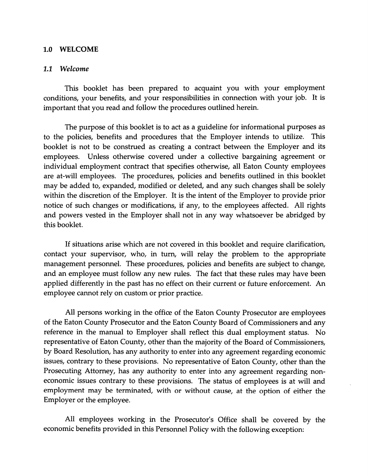## 1.0 WELCOME

## 1.1 *Welcome*

This booklet has been prepared to acquaint you with your employment conditions, your benefits, and your responsibilities in connection with your job. It is important that you read and follow the procedures outlined herein.

The purpose of this booklet is to act as a guideline for informational purposes as to the policies, benefits and procedures that the Employer intends to utilize. This booklet is not to be construed as creating a contract between the Employer and its employees. Unless otherwise covered under a collective bargaining agreement or individual employment contract that specifies otherwise, all Eaton County employees are at-will employees. The procedures, policies and benefits outlined in this booklet may be added to, expanded, modified or deleted, and any such changes shall be solely within the discretion of the Employer. It is the intent of the Employer to provide prior notice of such changes or modifications, if any, to the employees affected. All rights and powers vested in the Employer shall not in any way whatsoever be abridged by this booklet.

If situations arise which are not covered in this booklet and require clarification, contact your supervisor, who, in turn, will relay the problem to the appropriate management personnel. These procedures, policies and benefits are subject to change, and an employee must follow any new rules. The fact that these rules may have been applied differently in the past has no effect on their current or future enforcement. An employee cannot rely on custom or prior practice.

All persons working in the office of the Eaton County Prosecutor are employees of the Eaton County Prosecutor and the Eaton County Board of Commissioners and any reference in the manual to Employer shall reflect this dual employment status. No representative of Eaton County, other than the majority of the Board of Commissioners, by Board Resolution, has any authority to enter into any agreement regarding economic issues, contrary to these provisions. No representative of Eaton County, other than the Prosecuting Attorney, has any authority to enter into any agreement regarding noneconomic issues contrary to these provisions. The status of employees is at will and employment may be terminated, with or without cause, at the option of either the Employer or the employee.

All employees working in the Prosecutor's Office shall be covered by the economic benefits provided in this Personnel Policy with the following exception: